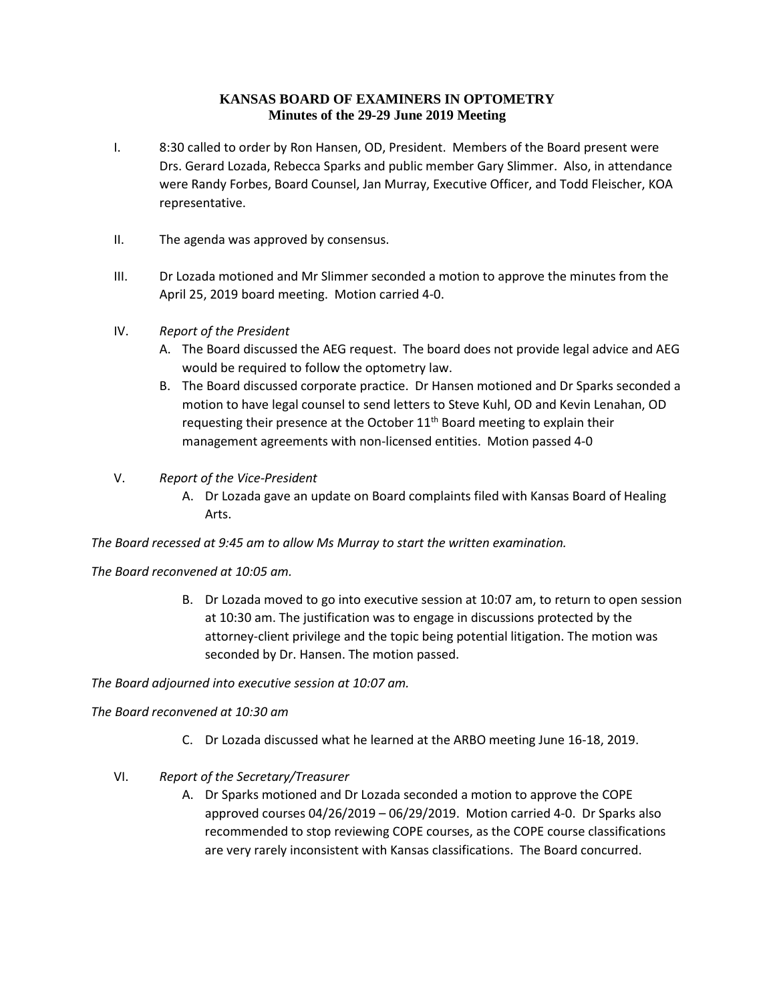# **KANSAS BOARD OF EXAMINERS IN OPTOMETRY Minutes of the 29-29 June 2019 Meeting**

- I. 8:30 called to order by Ron Hansen, OD, President. Members of the Board present were Drs. Gerard Lozada, Rebecca Sparks and public member Gary Slimmer. Also, in attendance were Randy Forbes, Board Counsel, Jan Murray, Executive Officer, and Todd Fleischer, KOA representative.
- II. The agenda was approved by consensus.
- III. Dr Lozada motioned and Mr Slimmer seconded a motion to approve the minutes from the April 25, 2019 board meeting. Motion carried 4-0.
- IV. *Report of the President*
	- A. The Board discussed the AEG request. The board does not provide legal advice and AEG would be required to follow the optometry law.
	- B. The Board discussed corporate practice. Dr Hansen motioned and Dr Sparks seconded a motion to have legal counsel to send letters to Steve Kuhl, OD and Kevin Lenahan, OD requesting their presence at the October  $11<sup>th</sup>$  Board meeting to explain their management agreements with non-licensed entities. Motion passed 4-0
- V. *Report of the Vice-President*
	- A. Dr Lozada gave an update on Board complaints filed with Kansas Board of Healing Arts.

*The Board recessed at 9:45 am to allow Ms Murray to start the written examination.*

#### *The Board reconvened at 10:05 am.*

B. Dr Lozada moved to go into executive session at 10:07 am, to return to open session at 10:30 am. The justification was to engage in discussions protected by the attorney-client privilege and the topic being potential litigation. The motion was seconded by Dr. Hansen. The motion passed.

*The Board adjourned into executive session at 10:07 am.*

#### *The Board reconvened at 10:30 am*

- C. Dr Lozada discussed what he learned at the ARBO meeting June 16-18, 2019.
- VI. *Report of the Secretary/Treasurer*
	- A. Dr Sparks motioned and Dr Lozada seconded a motion to approve the COPE approved courses 04/26/2019 – 06/29/2019. Motion carried 4-0. Dr Sparks also recommended to stop reviewing COPE courses, as the COPE course classifications are very rarely inconsistent with Kansas classifications. The Board concurred.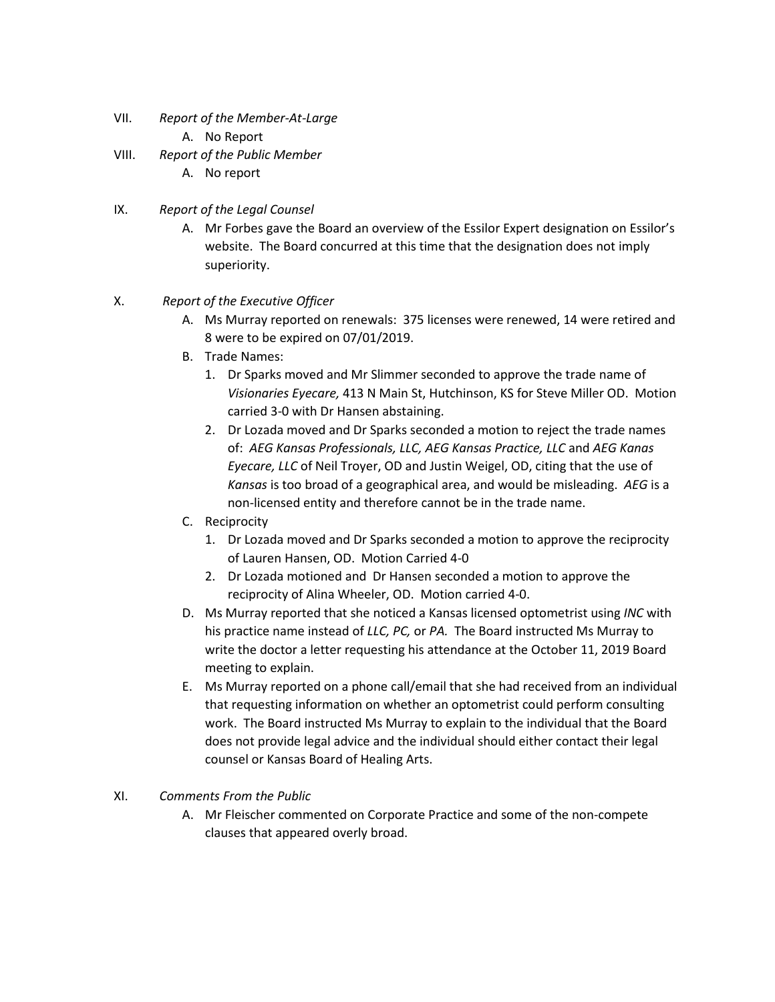- VII. *Report of the Member-At-Large*
	- A. No Report
- VIII. *Report of the Public Member*
	- A. No report
- IX. *Report of the Legal Counsel*
	- A. Mr Forbes gave the Board an overview of the Essilor Expert designation on Essilor's website. The Board concurred at this time that the designation does not imply superiority.
- X. *Report of the Executive Officer*
	- A. Ms Murray reported on renewals: 375 licenses were renewed, 14 were retired and 8 were to be expired on 07/01/2019.
	- B. Trade Names:
		- 1. Dr Sparks moved and Mr Slimmer seconded to approve the trade name of *Visionaries Eyecare,* 413 N Main St, Hutchinson, KS for Steve Miller OD. Motion carried 3-0 with Dr Hansen abstaining.
		- 2. Dr Lozada moved and Dr Sparks seconded a motion to reject the trade names of: *AEG Kansas Professionals, LLC, AEG Kansas Practice, LLC* and *AEG Kanas Eyecare, LLC* of Neil Troyer, OD and Justin Weigel, OD, citing that the use of *Kansas* is too broad of a geographical area, and would be misleading. *AEG* is a non-licensed entity and therefore cannot be in the trade name.
	- C. Reciprocity
		- 1. Dr Lozada moved and Dr Sparks seconded a motion to approve the reciprocity of Lauren Hansen, OD. Motion Carried 4-0
		- 2. Dr Lozada motioned and Dr Hansen seconded a motion to approve the reciprocity of Alina Wheeler, OD. Motion carried 4-0.
	- D. Ms Murray reported that she noticed a Kansas licensed optometrist using *INC* with his practice name instead of *LLC, PC,* or *PA.* The Board instructed Ms Murray to write the doctor a letter requesting his attendance at the October 11, 2019 Board meeting to explain.
	- E. Ms Murray reported on a phone call/email that she had received from an individual that requesting information on whether an optometrist could perform consulting work. The Board instructed Ms Murray to explain to the individual that the Board does not provide legal advice and the individual should either contact their legal counsel or Kansas Board of Healing Arts.

#### XI. *Comments From the Public*

A. Mr Fleischer commented on Corporate Practice and some of the non-compete clauses that appeared overly broad.